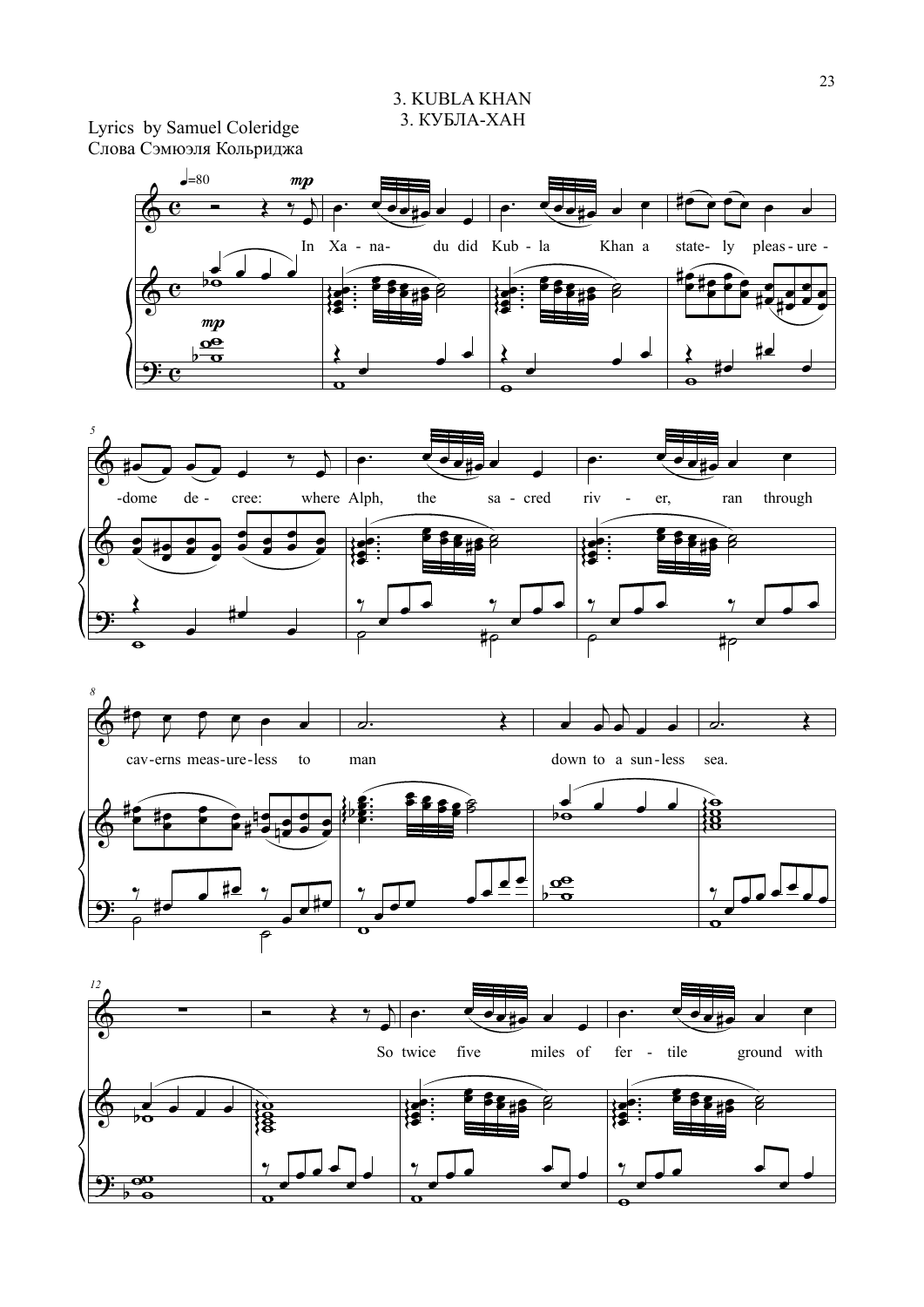Lyrics by Samuel Coleridge Слова Сэмюэля Кольриджа







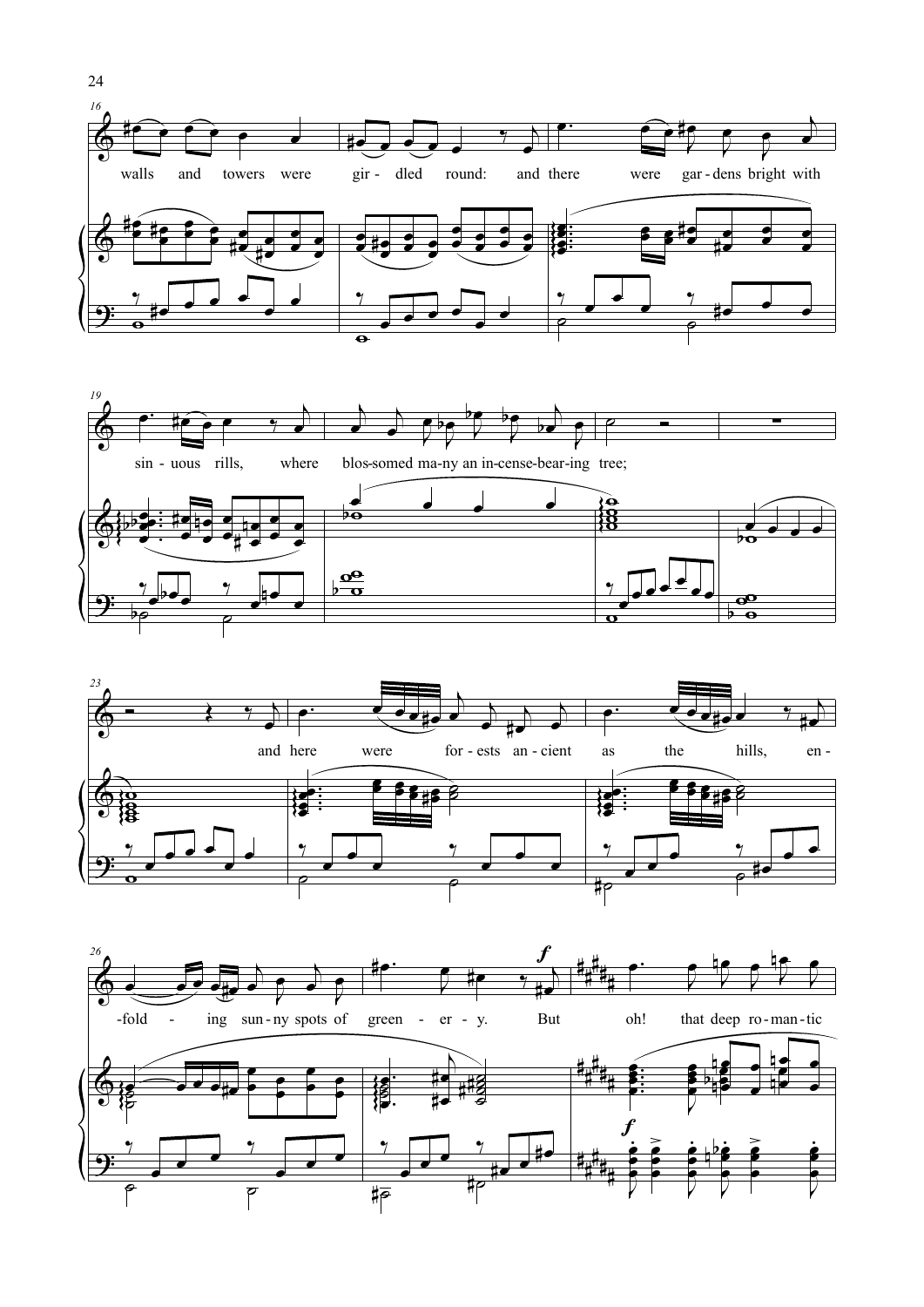





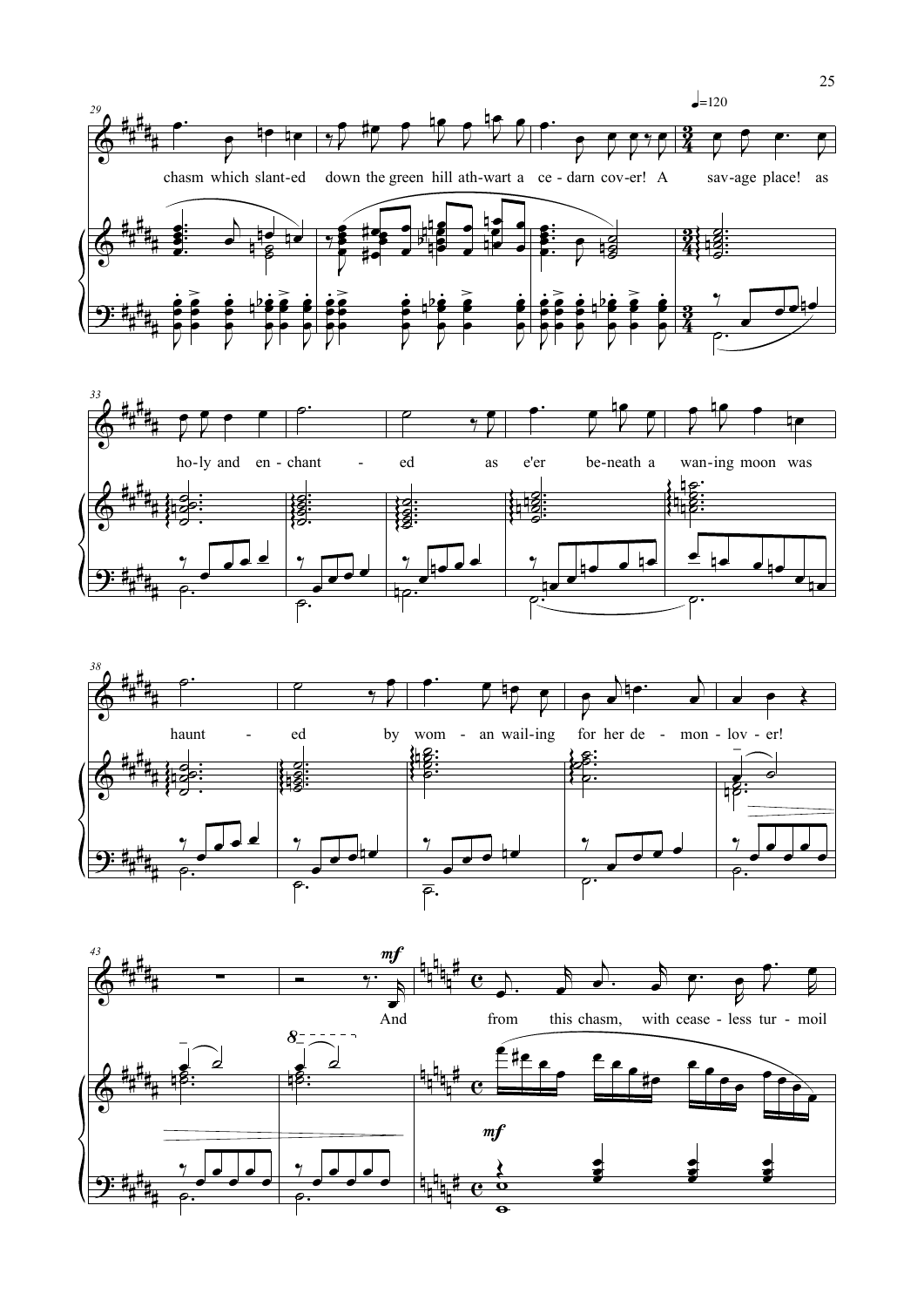





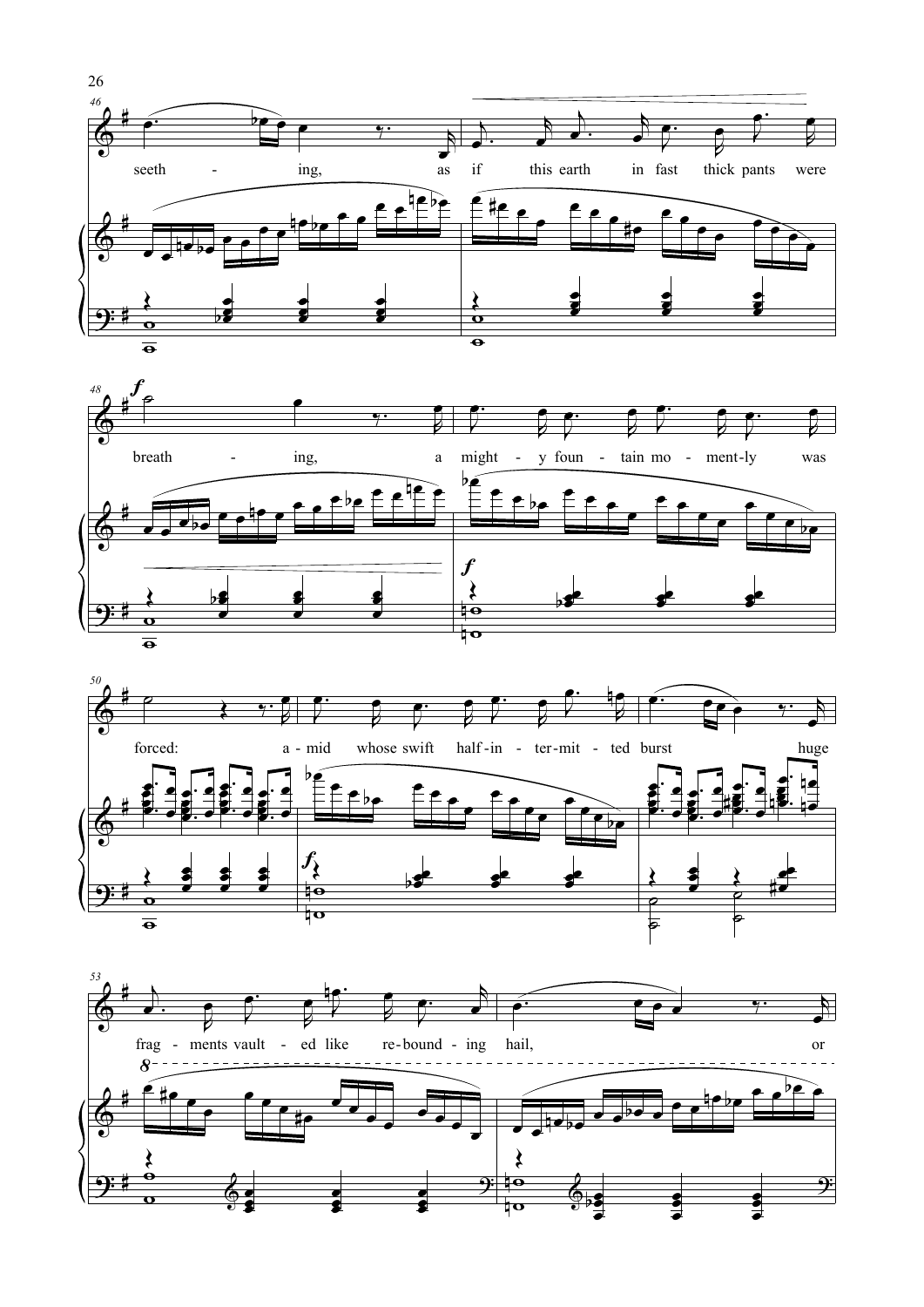





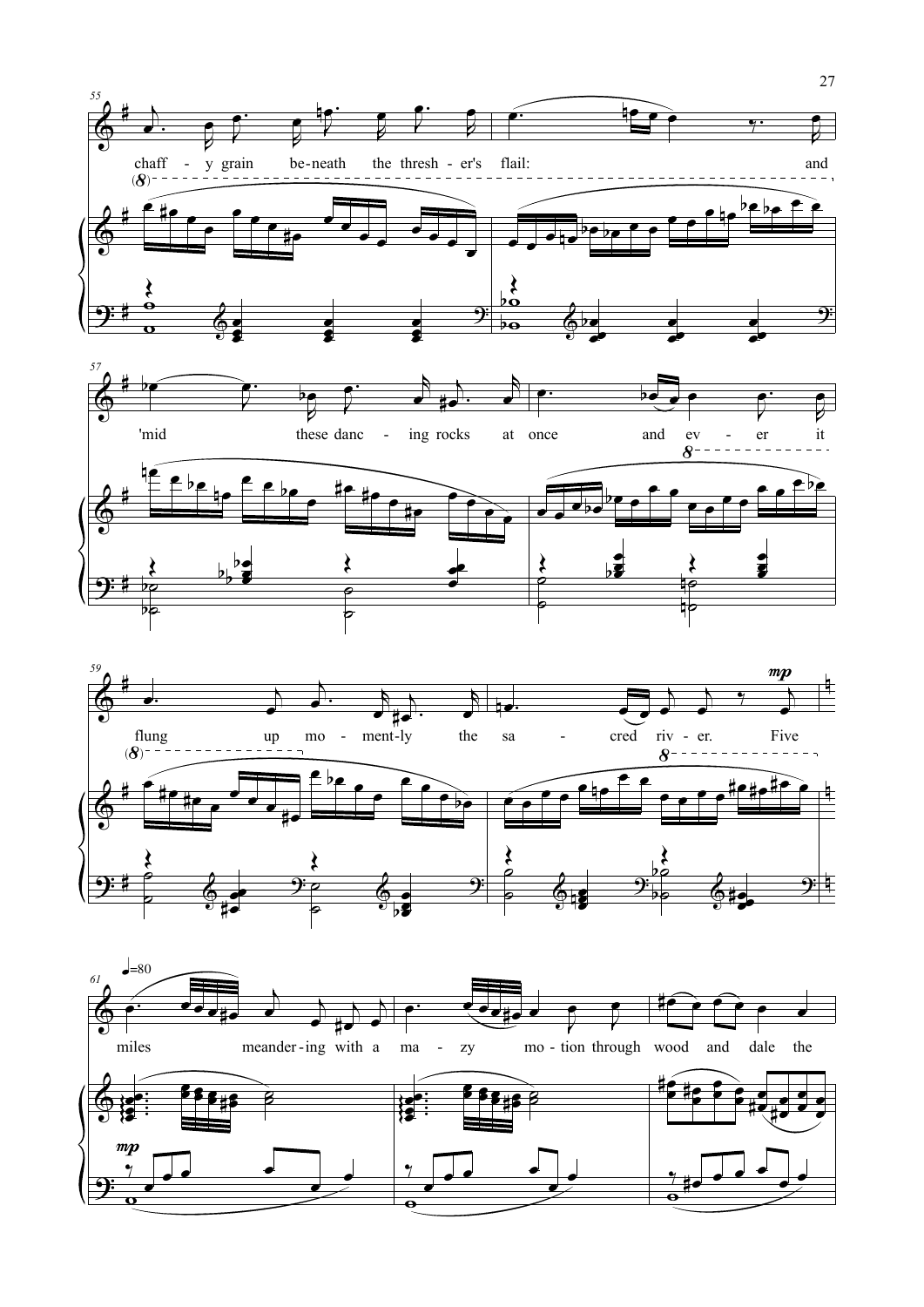





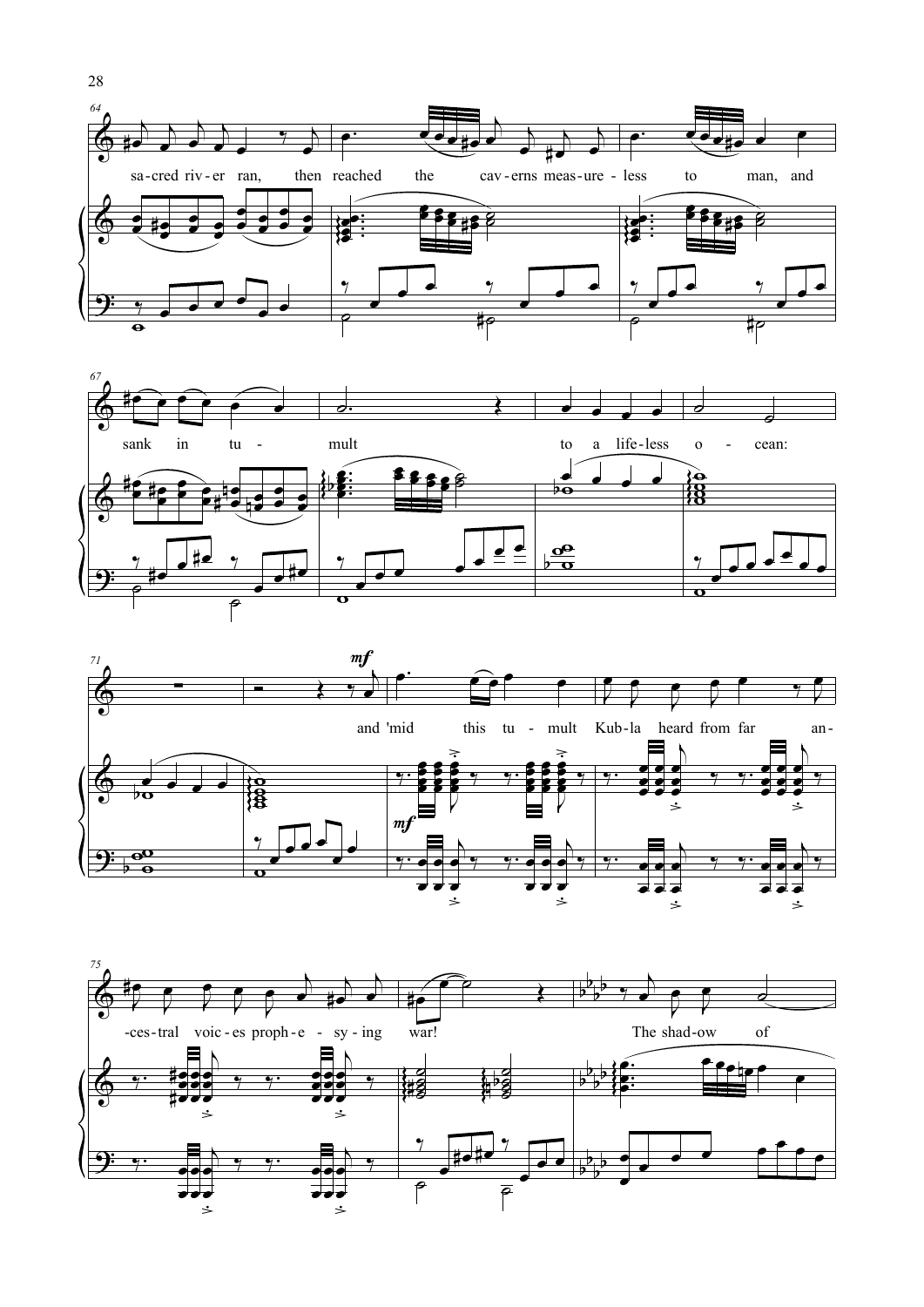





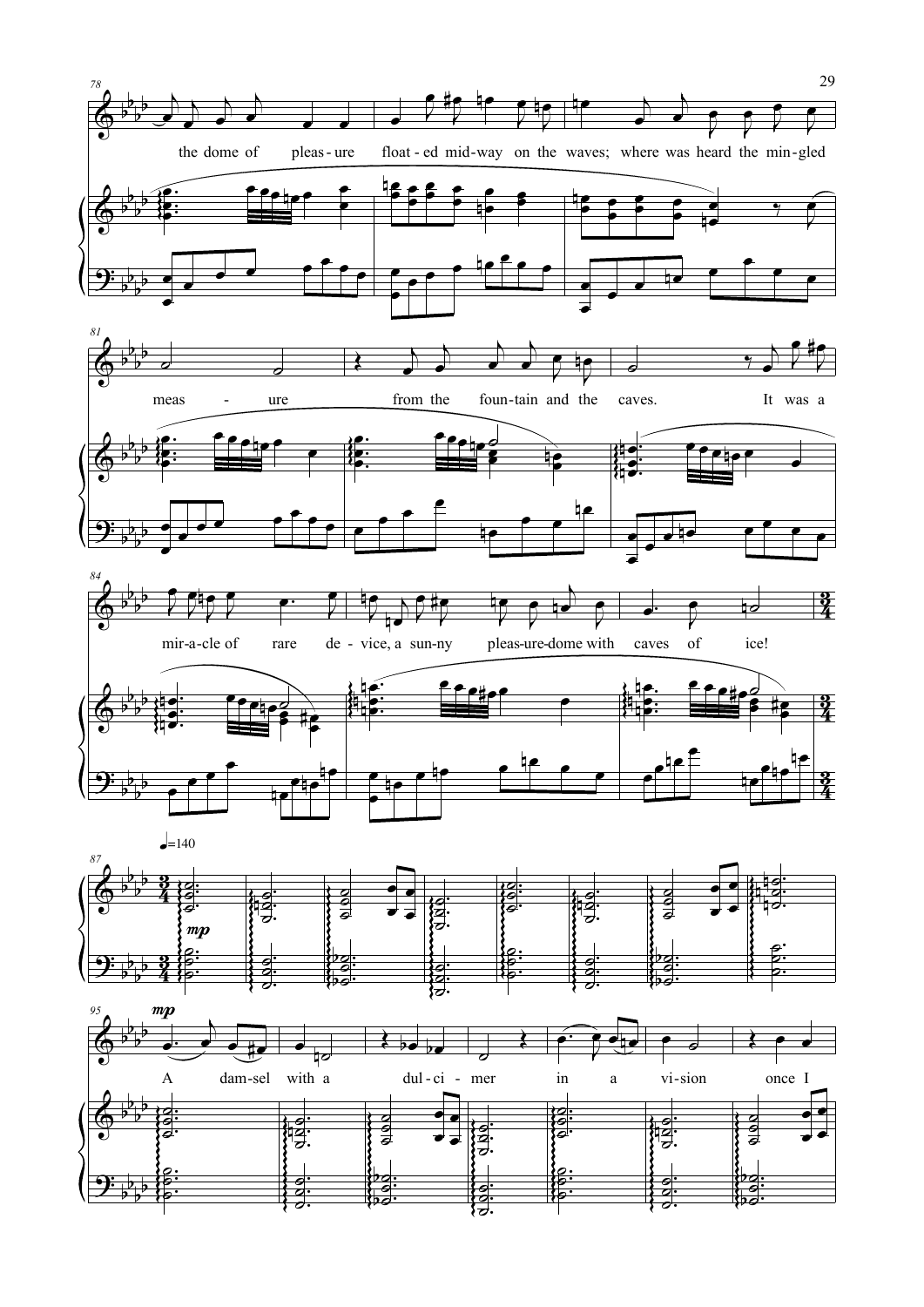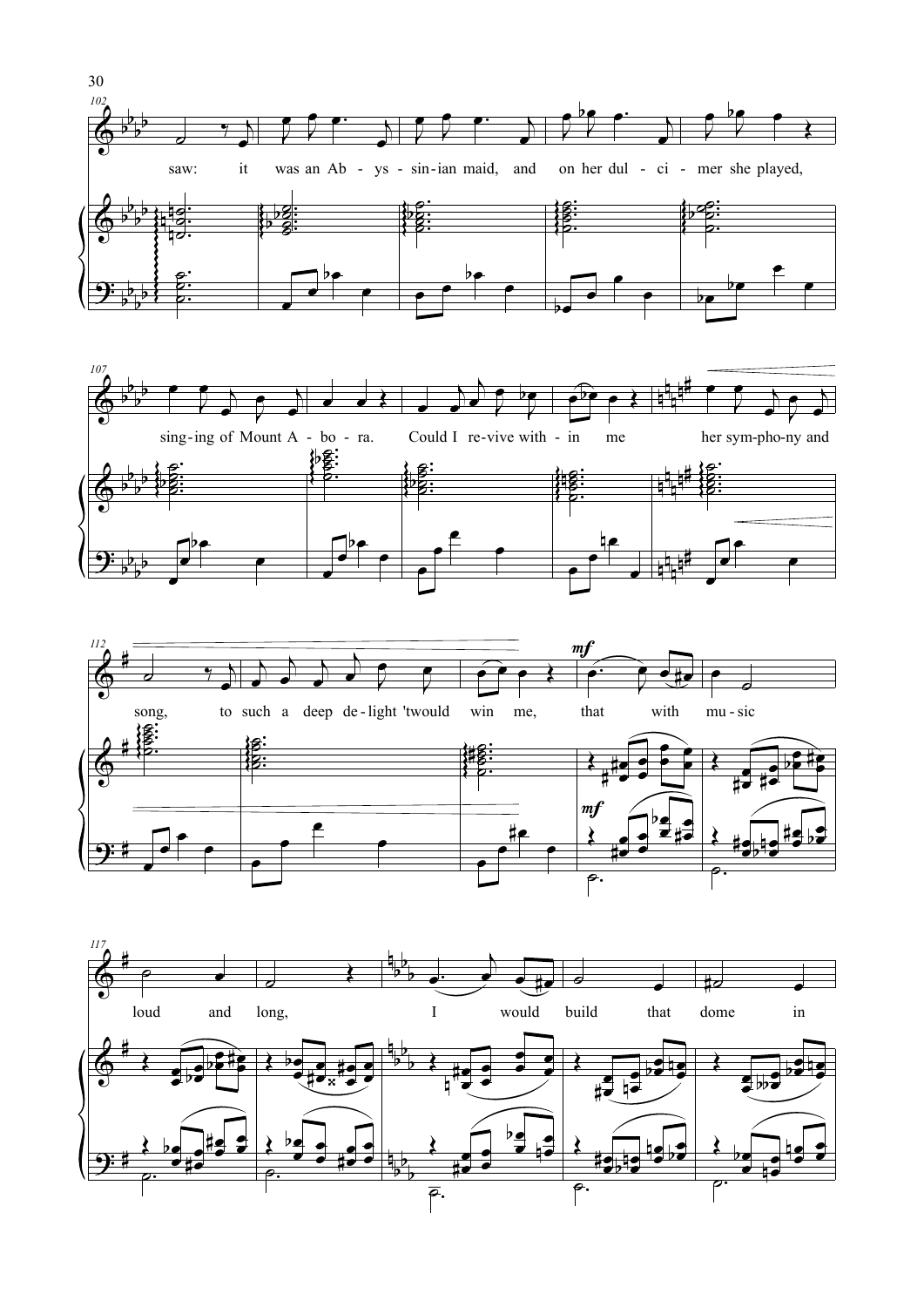





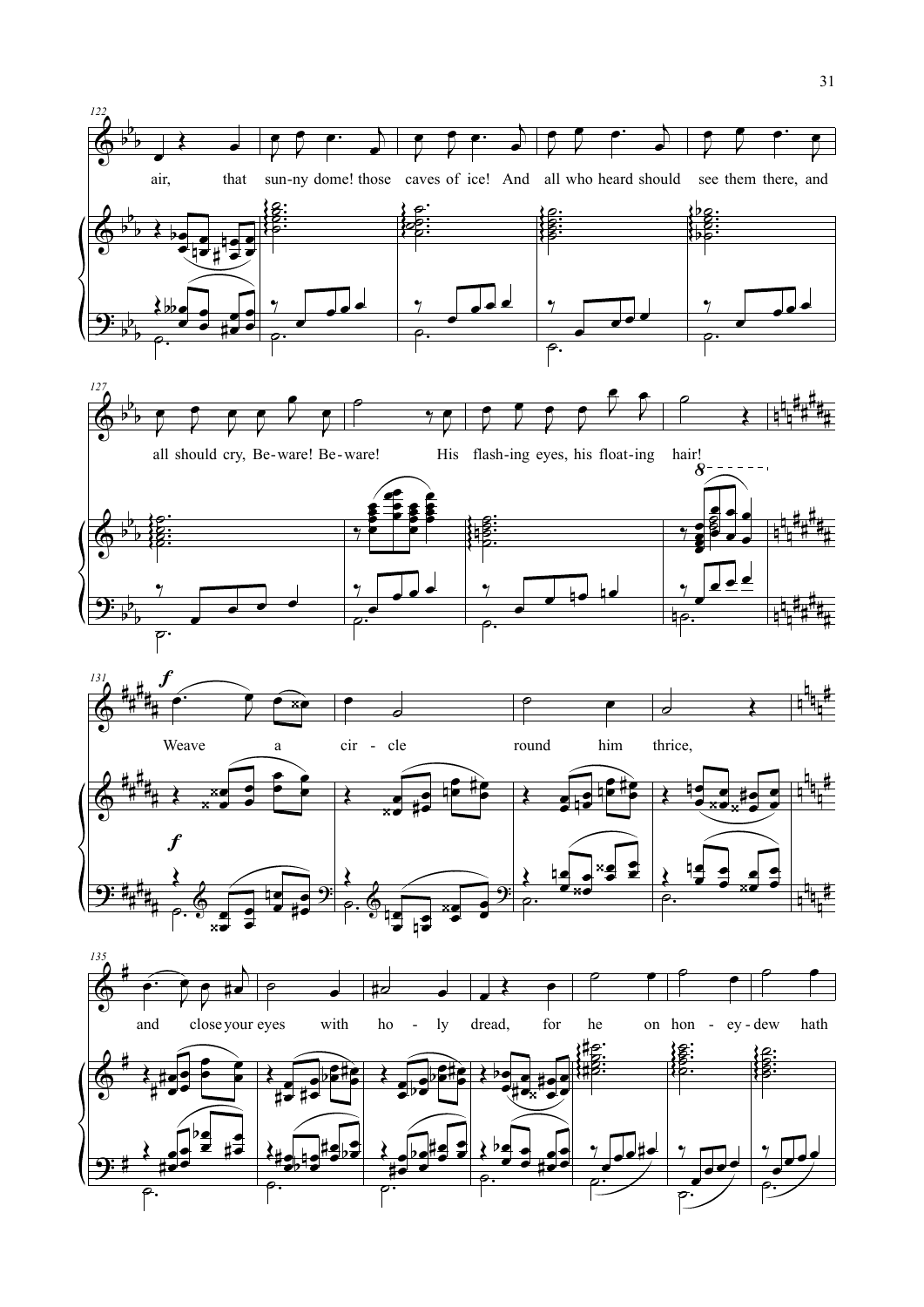